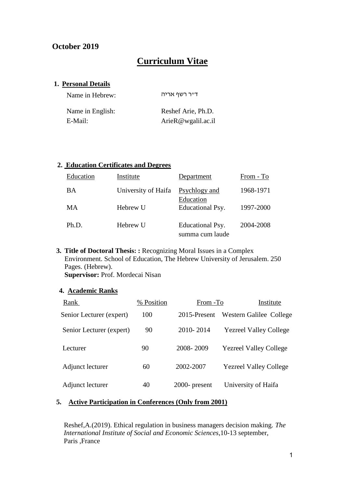# **October 2019**

# **Curriculum Vitae**

## **1. Personal Details**

| Name in Hebrew:  | דייר רשף אריה      |
|------------------|--------------------|
| Name in English: | Reshef Arie, Ph.D. |
| E-Mail:          | ArieR@wgalil.ac.il |

#### **2. Education Certificates and Degrees**

| Education | Institute           | Department                                     | From - To |
|-----------|---------------------|------------------------------------------------|-----------|
| BA        | University of Haifa | Psychlogy and<br>Education<br>Educational Psy. | 1968-1971 |
| MA        | Hebrew U            |                                                | 1997-2000 |
| Ph.D.     | Hebrew U            | Educational Psy.<br>summa cum laude            | 2004-2008 |

**3. Title of Doctoral Thesis: :** Recognizing Moral Issues in a Complex Environment. School of Education, The Hebrew University of Jerusalem. 250 Pages. (Hebrew).

**Supervisor:** Prof. Mordecai Nisan

# **4. Academic Ranks**

| Rank                     | % Position | From -To         | Institute                     |
|--------------------------|------------|------------------|-------------------------------|
| Senior Lecturer (expert) | 100        | 2015-Present     | Western Galilee College       |
| Senior Lecturer (expert) | 90         | 2010-2014        | <b>Yezreel Valley College</b> |
| Lecturer                 | 90         | 2008-2009        | <b>Yezreel Valley College</b> |
| Adjunct lecturer         | 60         | 2002-2007        | <b>Yezreel Valley College</b> |
| Adjunct lecturer         | 40         | $2000$ - present | University of Haifa           |

# **5. Active Participation in Conferences (Only from 2001)**

Reshef,A.(2019). Ethical regulation in business managers decision making. *The International Institute of Social and Economic Sciences*,10-13 september, Paris ,France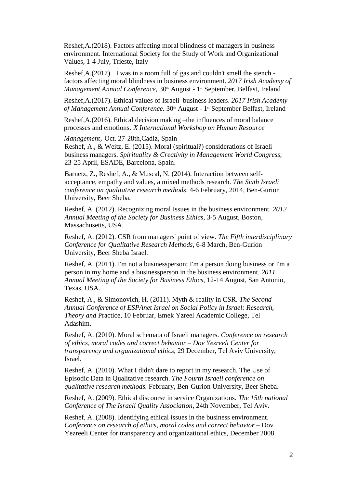Reshef,A.(2018). Factors affecting moral blindness of managers in business environment. International Society for the Study of Work and Organizational Values, 1-4 July, Trieste, Italy

Reshef,A.(2017). I was in a room full of gas and couldn't smell the stench factors affecting moral blindness in business environment. *2017 Irish Academy of Management Annual Conference,* 30<sup>th</sup> August - 1<sup>st</sup> September. Belfast, Ireland

Reshef,A.(2017). Ethical values of Israeli business leaders. *2017 Irish Academy of Management Annual Conference.* 30<sup>th</sup> August - 1<sup>st</sup> September Belfast, Ireland

Reshef,A.(2016). Ethical decision making –the influences of moral balance processes and emotions. *X International Workshop on Human Resource*

*Management*, Oct. 27-28th,Cadiz, Spain

Reshef, A., & Weitz, E. (2015). Moral (spiritual?) considerations of Israeli business managers. *Spirituality & Creativity in Management World Congress,* 23-25 April, ESADE, Barcelona, Spain.

Barnetz, Z., Reshef, A., & Muscal, N. (2014). Interaction between selfacceptance, empathy and values, a mixed methods research. *The Sixth Israeli conference on qualitative research methods*. 4-6 February, 2014, Ben-Gurion University, Beer Sheba.

Reshef, A. (2012). Recognizing moral Issues in the business environment. *2012 Annual Meeting of the Society for Business Ethics,* 3-5 August, Boston, Massachusetts, USA.

Reshef, A. (2012). CSR from managers' point of view. *The Fifth interdisciplinary Conference for Qualitative Research Methods*, 6-8 March, Ben-Gurion University, Beer Sheba Israel.

Reshef, A. (2011). I'm not a businessperson; I'm a person doing business or I'm a person in my home and a businessperson in the business environment. *2011 Annual Meeting of the Society for Business Ethics*, 12-14 August, San Antonio, Texas, USA.

Reshef, A., & Simonovich, H. (2011). Myth & reality in CSR. *The Second Annual Conference of ESPAnet Israel on Social Policy in Israel: Research, Theory and* Practice, 10 Februar, Emek Yzreel Academic College, Tel Adashim.

Reshef, A. (2010). Moral schemata of Israeli managers. *Conference on research of ethics, moral codes and correct behavior – Dov Yezreeli Center for transparency and organizational ethics*, 29 December, Tel Aviv University, Israel.

Reshef, A. (2010). What I didn't dare to report in my research. The Use of Episodic Data in Qualitative research. *The Fourth Israeli conference on qualitative research methods.* February, Ben-Gurion University, Beer Sheba.

Reshef, A. (2009). Ethical discourse in service Organizations. *The 15th national Conference of The Israeli Quality Association*, 24th November, Tel Aviv.

Reshef, A. (2008). Identifying ethical issues in the business environment. *Conference on research of ethics, moral codes and correct behavior –* Dov Yezreeli Center for transparency and organizational ethics, December 2008.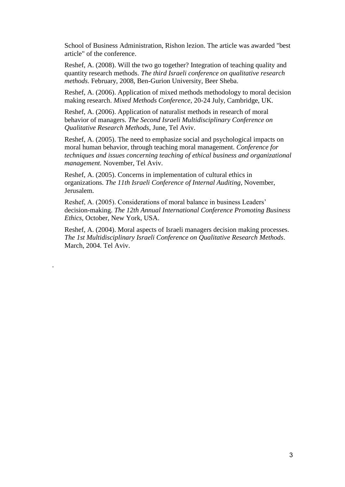School of Business Administration, Rishon lezion. The article was awarded "best article" of the conference.

Reshef, A. (2008). Will the two go together? Integration of teaching quality and quantity research methods. *The third Israeli conference on qualitative research methods*. February, 2008, Ben-Gurion University, Beer Sheba.

Reshef, A. (2006). Application of mixed methods methodology to moral decision making research. *Mixed Methods Conference*, 20-24 July, Cambridge, UK.

Reshef, A. (2006). Application of naturalist methods in research of moral behavior of managers. *The Second Israeli Multidisciplinary Conference on Qualitative Research Methods*, June, Tel Aviv.

Reshef, A. (2005). The need to emphasize social and psychological impacts on moral human behavior, through teaching moral management. *Conference for techniques and issues concerning teaching of ethical business and organizational management.* November, Tel Aviv.

Reshef, A. (2005). Concerns in implementation of cultural ethics in organizations. *The 11th Israeli Conference of Internal Auditing*, November, Jerusalem.

Reshef, A. (2005). Considerations of moral balance in business Leaders' decision-making. *The 12th Annual International Conference Promoting Business Ethics*, October, New York, USA.

Reshef, A. (2004). Moral aspects of Israeli managers decision making processes. *The 1st Multidisciplinary Israeli Conference on Qualitative Research Methods*. March, 2004. Tel Aviv.

.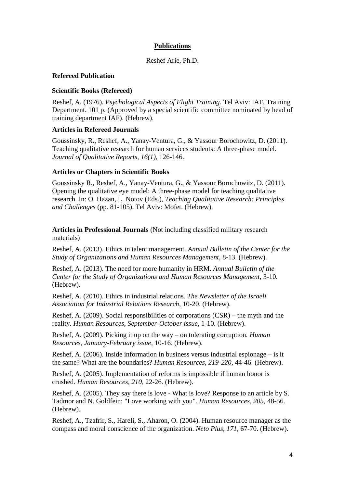# **Publications**

#### Reshef Arie, Ph.D.

#### **Refereed Publication**

#### **Scientific Books (Refereed)**

Reshef, A. (1976). *Psychological Aspects of Flight Training*. Tel Aviv: IAF, Training Department. 101 p. (Approved by a special scientific committee nominated by head of training department IAF). (Hebrew).

#### **Articles in Refereed Journals**

Goussinsky, R., Reshef, A., Yanay-Ventura, G., & Yassour Borochowitz, D. (2011). Teaching qualitative research for human services students: A three-phase model. *Journal of Qualitative Reports*, *16(1),* 126-146.

#### **Articles or Chapters in Scientific Books**

Goussinsky R., Reshef, A., Yanay-Ventura, G., & Yassour Borochowitz, D. (2011). Opening the qualitative eye model: A three-phase model for teaching qualitative research. In: O. Hazan, L. Notov (Eds.), *Teaching Qualitative Research: Principles and Challenges* (pp. 81-105). Tel Aviv: Mofet. (Hebrew).

**Articles in Professional Journals** (Not including classified military research materials)

Reshef, A. (2013). Ethics in talent management. *Annual Bulletin of the Center for the Study of Organizations and Human Resources Management*, 8-13. (Hebrew).

Reshef, A. (2013). The need for more humanity in HRM. *Annual Bulletin of the Center for the Study of Organizations and Human Resources Management*, 3-10. (Hebrew).

Reshef, A. (2010). Ethics in industrial relations. *The Newsletter of the Israeli Association for Industrial Relations Research,* 10-20. (Hebrew).

Reshef, A. (2009). Social responsibilities of corporations (CSR) – the myth and the reality. *Human Resources*, *September-October issue*, 1-10. (Hebrew).

Reshef, A. (2009). Picking it up on the way – on tolerating corruption*. Human Resources*, *January-February issue,* 10-16. (Hebrew).

Reshef, A. (2006). Inside information in business versus industrial espionage – is it the same? What are the boundaries? *Human Resources, 219-220,* 44-46. (Hebrew).

Reshef, A. (2005). Implementation of reforms is impossible if human honor is crushed. *Human Resources, 210,* 22-26. (Hebrew).

Reshef, A. (2005). They say there is love - What is love? Response to an article by S. Tadmor and N. Goldfein: "Love working with you". *Human Resources, 205,* 48-56. (Hebrew).

Reshef, A., Tzafrir, S., Hareli, S., Aharon, O. (2004). Human resource manager as the compass and moral conscience of the organization. *Neto Plus, 171,* 67-70. (Hebrew).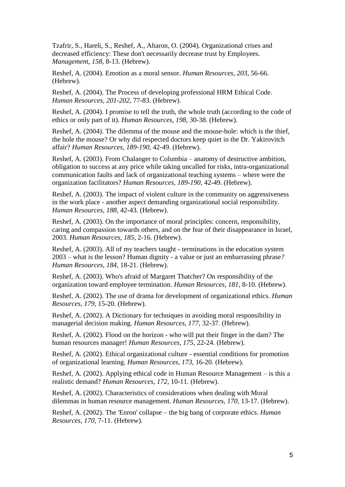Tzafrir, S., Hareli, S., Reshef, A., Aharon, O. (2004). Organizational crises and decreased efficiency: These don't necessarily decrease trust by Employees. *Managemen*t, *158*, 8-13. (Hebrew).

Reshef, A. (2004). Emotion as a moral sensor. *Human Resources, 203,* 56-66. (Hebrew).

Reshef, A. (2004). The Process of developing professional HRM Ethical Code. *Human Resources, 201-202,* 77-83. (Hebrew).

Reshef, A. (2004). I promise to tell the truth, the whole truth (according to the code of ethics or only part of it). *Human Resources, 198,* 30-38. (Hebrew).

Reshef, A. (2004). The dilemma of the mouse and the mouse-hole: which is the thief, the hole the mouse? Or why did respected doctors keep quiet in the Dr. Yakirovitch affair? *Human Resources, 189-190,* 42-49. (Hebrew).

Reshef, A. (2003). From Chalanger to Columbia – anatomy of destructive ambition, obligation to success at any price while taking uncalled for risks, intra-organizational communication faults and lack of organizational teaching systems – where were the organization facilitators? *Human Resources, 189-190,* 42-49. (Hebrew).

Reshef, A. (2003). The impact of violent culture in the community on aggressiveness in the work place - another aspect demanding organizational social responsibility. *Human Resources, 188,* 42-43. (Hebrew).

Reshef, A. (2003). On the importance of moral principles: concern, responsibility, caring and compassion towards others, and on the fear of their disappearance in Israel, 2003. *Human Resources, 185,* 2-16. (Hebrew).

Reshef, A. (2003). All of my teachers taught - terminations in the education system 2003 – what is the lesson? Human dignity - a value or just an embarrassing phrase*? Human Resources, 184,* 18-21. (Hebrew).

Reshef, A. (2003). Who's afraid of Margaret Thatcher? On responsibility of the organization toward employee termination. *Human Resources, 181,* 8-10. (Hebrew).

Reshef, A. (2002). The use of drama for development of organizational ethics. *Human Resources, 179,* 15-20. (Hebrew).

Reshef, A. (2002). A Dictionary for techniques in avoiding moral responsibility in managerial decision making. *Human Resources, 177,* 32-37. (Hebrew).

Reshef, A. (2002). Flood on the horizon - who will put their finger in the dam? The human resources manager! *Human Resources, 175,* 22-24. (Hebrew).

Reshef, A. (2002). Ethical organizational culture - essential conditions for promotion of organizational learning. *Human Resources, 173,* 16-20. (Hebrew).

Reshef, A. (2002). Applying ethical code in Human Resource Management – is this a realistic demand? *Human Resources, 172,* 10-11. (Hebrew).

Reshef, A. (2002). Characteristics of considerations when dealing with Moral dilemmas in human resource management. *Human Resources, 170,* 13-17. (Hebrew).

Reshef, A. (2002). The 'Enron' collapse – the big bang of corporate ethics. *Human Resources, 170,* 7-11. (Hebrew).